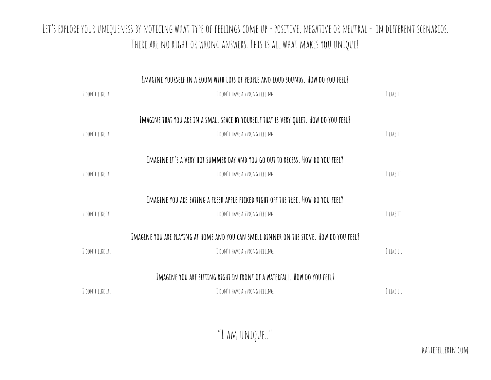## LET'S EXPLORE YOUR UNIQUENESS BY NOTICING WHAT TYPE OF FEELINGS COME UP - POSITIVE, NEGATIVE OR NEUTRAL - IN DIFFERENT SCENARIOS. THERE ARE NO RIGHT OR WRONG ANSWERS. THIS IS ALL WHAT MAKES YOU UNIQUE!

|                         | IMAGINE YOURSELF IN A ROOM WITH LOTS OF PEOPLE AND LOUD SOUNDS. HOW DO YOU FEEL?        |            |
|-------------------------|-----------------------------------------------------------------------------------------|------------|
| <b>I DON'T LIKE IT.</b> | I DON'T HAVE A STRONG FEELING.                                                          | I LIKE IT. |
|                         | IMAGINE THAT YOU ARE IN A SMALL SPACE BY YOURSELF THAT IS VERY QUIET. HOW DO YOU FEEL?  |            |
|                         |                                                                                         |            |
| I DON'T LIKE IT.        | I DON'T HAVE A STRONG FEELING.                                                          | I LIKE IT. |
|                         | IMAGINE IT'S A VERY HOT SUMMER DAY AND YOU GO OUT TO RECESS. HOW DO YOU FEEL?           |            |
| I DON'T LIKE IT.        | I DON'T HAVE A STRONG FEELING.                                                          | I LIKE IT. |
|                         |                                                                                         |            |
|                         | IMAGINE YOU ARE EATING A FRESH APPLE PICKED RIGHT OFF THE TREE. HOW DO YOU FEEL?        |            |
| I DON'T LIKE IT.        | I DON'T HAVE A STRONG FEELING.                                                          | I LIKE IT. |
|                         |                                                                                         |            |
|                         | IMAGINE YOU ARE PLAYING AT HOME AND YOU CAN SMELL DINNER ON THE STOVE. HOW DO YOU FEEL? |            |
| I DON'T LIKE IT.        | I DON'T HAVE A STRONG FEELING.                                                          | I LIKE IT. |
|                         |                                                                                         |            |
|                         | IMAGINE YOU ARE SITTING RIGHT IN FRONT OF A WATERFALL. HOW DO YOU FEEL?                 |            |
| I DON'T LIKE IT.        | I DON'T HAVE A STRONG FEELING.                                                          | I LIKE IT. |
|                         |                                                                                         |            |

"I am unique.."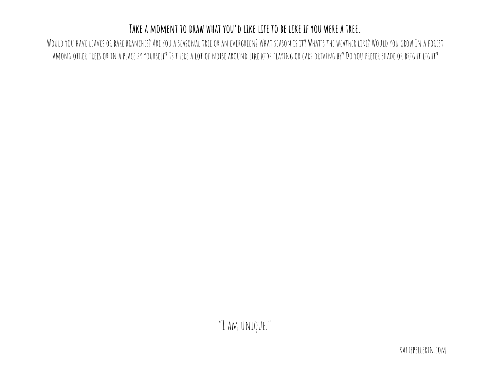## Take a moment to draw what you'd like life to be like if you were a tree.

WOULDYOU HAVE LEAVES OR BARE BRANCHES? ARE YOU A SEASONAL TREE OR AN EVERGREEN? WHAT SEASON IS IT? WHAT'S THE WEATHER LIKE? WOULDYOU GROW IN A FOREST AMONG OTHER TREES OR IN A PLACE BY YOURSELF? IS THERE A LOT OF NOISE AROUND LIKE KIDS PLAYING OR CARS DRIVING BY? DO YOU PREFER SHADE OR BRIGHT LIGHT?

"I am unique."

katiepellerin.com